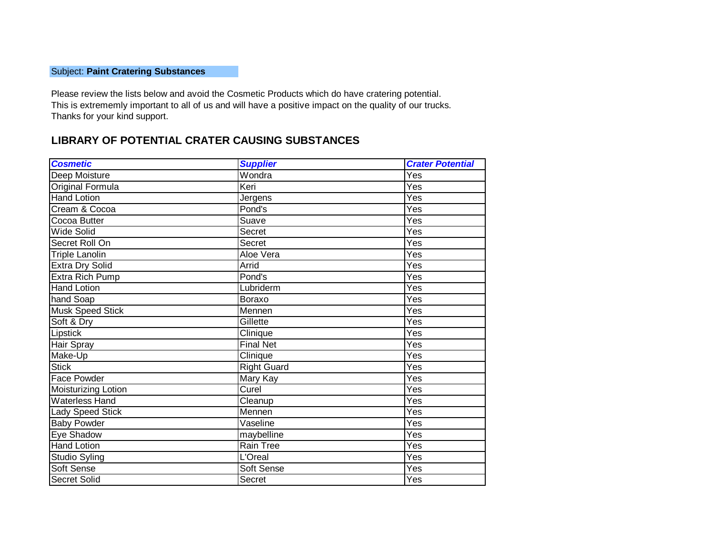## Subject: **Paint Cratering Substances**

Please review the lists below and avoid the Cosmetic Products which do have cratering potential. This is extrememly important to all of us and will have a positive impact on the quality of our trucks. Thanks for your kind support.

## **LIBRARY OF POTENTIAL CRATER CAUSING SUBSTANCES**

| <b>Cosmetic</b>        | <b>Supplier</b>    | <b>Crater Potential</b> |
|------------------------|--------------------|-------------------------|
| Deep Moisture          | Wondra             | Yes                     |
| Original Formula       | Keri               | Yes                     |
| <b>Hand Lotion</b>     | Jergens            | Yes                     |
| Cream & Cocoa          | Pond's             | Yes                     |
| Cocoa Butter           | Suave              | Yes                     |
| Wide Solid             | <b>Secret</b>      | Yes                     |
| Secret Roll On         | <b>Secret</b>      | Yes                     |
| <b>Triple Lanolin</b>  | Aloe Vera          | Yes                     |
| <b>Extra Dry Solid</b> | Arrid              | Yes                     |
| Extra Rich Pump        | Pond's             | Yes                     |
| <b>Hand Lotion</b>     | Lubriderm          | $\overline{\text{Yes}}$ |
| hand Soap              | Boraxo             | Yes                     |
| Musk Speed Stick       | Mennen             | $\overline{\text{Yes}}$ |
| Soft & Dry             | Gillette           | Yes                     |
| Lipstick               | Clinique           | Yes                     |
| Hair Spray             | <b>Final Net</b>   | Yes                     |
| Make-Up                | Clinique           | Yes                     |
| <b>Stick</b>           | <b>Right Guard</b> | $\overline{\text{Yes}}$ |
| <b>Face Powder</b>     | Mary Kay           | Yes                     |
| Moisturizing Lotion    | Curel              | $\overline{\text{Yes}}$ |
| <b>Waterless Hand</b>  | Cleanup            | Yes                     |
| Lady Speed Stick       | Mennen             | Yes                     |
| <b>Baby Powder</b>     | Vaseline           | Yes                     |
| Eye Shadow             | maybelline         | Yes                     |
| <b>Hand Lotion</b>     | <b>Rain Tree</b>   | $\overline{\text{Yes}}$ |
| Studio Syling          | L'Oreal            | Yes                     |
| Soft Sense             | Soft Sense         | $\overline{\text{Yes}}$ |
| <b>Secret Solid</b>    | Secret             | Yes                     |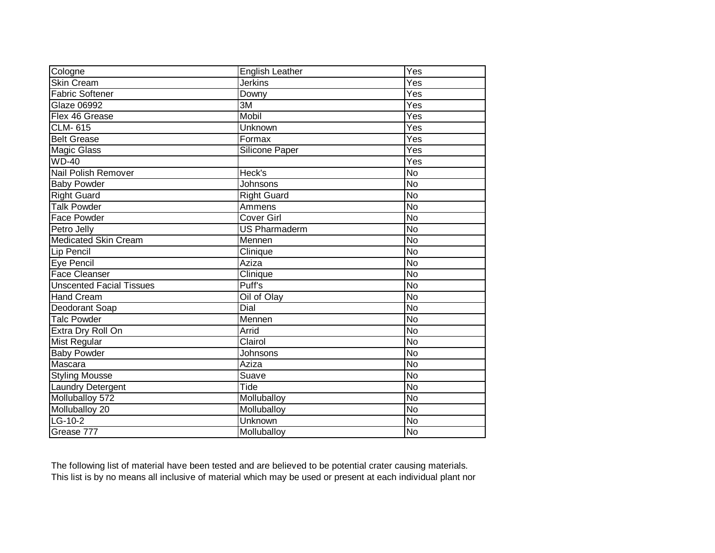| Cologne                         | English Leather      | Yes                |
|---------------------------------|----------------------|--------------------|
| <b>Skin Cream</b>               | <b>Jerkins</b>       | Yes                |
| <b>Fabric Softener</b>          | Downy                | $\overline{Yes}$   |
| <b>Glaze 06992</b>              | 3M                   | Yes                |
| Flex 46 Grease                  | Mobil                | Yes                |
| <b>CLM-615</b>                  | Unknown              | Yes                |
| <b>Belt Grease</b>              | Formax               | Yes                |
| <b>Magic Glass</b>              | Silicone Paper       | Yes                |
| $WD-40$                         |                      | Yes                |
| Nail Polish Remover             | Heck's               | $\overline{N_{O}}$ |
| <b>Baby Powder</b>              | <b>Johnsons</b>      | <b>No</b>          |
| <b>Right Guard</b>              | <b>Right Guard</b>   | <b>No</b>          |
| Talk Powder                     | Ammens               | <b>No</b>          |
| Face Powder                     | Cover Girl           | $\overline{N_{O}}$ |
| Petro Jelly                     | <b>US Pharmaderm</b> | $\overline{N}$     |
| <b>Medicated Skin Cream</b>     | Mennen               | $\overline{N_{O}}$ |
| Lip Pencil                      | Clinique             | $\overline{N_{O}}$ |
| Eye Pencil                      | Aziza                | $\overline{No}$    |
| <b>Face Cleanser</b>            | Clinique             | $\overline{N}$     |
| <b>Unscented Facial Tissues</b> | Puff's               | $\overline{N}$     |
| <b>Hand Cream</b>               | Oil of Olay          | $\overline{N}$     |
| Deodorant Soap                  | Dial                 | $\overline{N_{O}}$ |
| <b>Talc Powder</b>              | Mennen               | $\overline{N_{O}}$ |
| Extra Dry Roll On               | Arrid                | <b>No</b>          |
| <b>Mist Regular</b>             | Clairol              | $\overline{N_{O}}$ |
| <b>Baby Powder</b>              | Johnsons             | $\overline{N}$     |
| Mascara                         | Aziza                | <b>No</b>          |
| <b>Styling Mousse</b>           | Suave                | <b>No</b>          |
| <b>Laundry Detergent</b>        | Tide                 | <b>No</b>          |
| Molluballoy 572                 | Molluballoy          | $\overline{N_{O}}$ |
| Molluballoy 20                  | Molluballoy          | No                 |
| $LG-10-2$                       | Unknown              | $\overline{N}$     |
| Grease 777                      | Molluballoy          | $\overline{N}$     |

The following list of material have been tested and are believed to be potential crater causing materials. This list is by no means all inclusive of material which may be used or present at each individual plant nor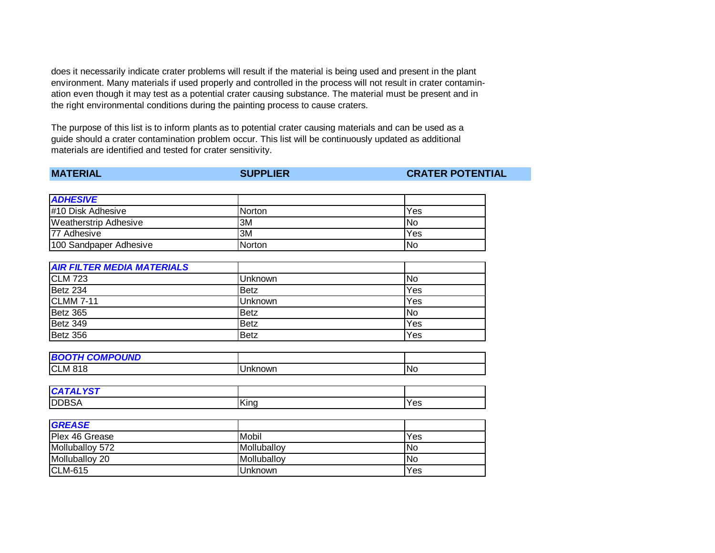does it necessarily indicate crater problems will result if the material is being used and present in the plant environment. Many materials if used properly and controlled in the process will not result in crater contamination even though it may test as a potential crater causing substance. The material must be present and in the right environmental conditions during the painting process to cause craters.

The purpose of this list is to inform plants as to potential crater causing materials and can be used as a guide should a crater contamination problem occur. This list will be continuously updated as additional materials are identified and tested for crater sensitivity.

| <b>MATERIAL</b> |
|-----------------|
|-----------------|

**MATERIAL SUPPLIER CRATER POTENTIAL**

| <b>ADHESIVE</b>              |               |     |
|------------------------------|---------------|-----|
| #10 Disk Adhesive            | <b>Norton</b> | Yes |
| <b>Weatherstrip Adhesive</b> | 3M            | lNo |
| <b>77 Adhesive</b>           | 3M            | Yes |
| 100 Sandpaper Adhesive       | Norton        | No  |

| <b>AIR FILTER MEDIA MATERIALS</b> |                |     |
|-----------------------------------|----------------|-----|
| <b>CLM 723</b>                    | <b>Unknown</b> | lNo |
| Betz 234                          | <b>Betz</b>    | Yes |
| <b>CLMM 7-11</b>                  | <b>Unknown</b> | Yes |
| Betz 365                          | <b>Betz</b>    | No  |
| Betz 349                          | <b>Betz</b>    | Yes |
| Betz 356                          | <b>Betz</b>    | Yes |

| <b>H COMPOUND</b><br><b>BOC</b><br>וטו |         |     |
|----------------------------------------|---------|-----|
| <b>CLM 818</b>                         | Unknown | INc |

| $\sim$ $\sim$ $\sim$ $\sim$<br>C |      |     |
|----------------------------------|------|-----|
| <b>DDBSA</b>                     | King | Yes |

| <b>GREASE</b>   |             |            |
|-----------------|-------------|------------|
| Plex 46 Grease  | Mobil       | Yes        |
| Molluballoy 572 | Molluballoy | INo        |
| Molluballoy 20  | Molluballoy | <b>INo</b> |
| <b>CLM-615</b>  | Unknown     | Yes        |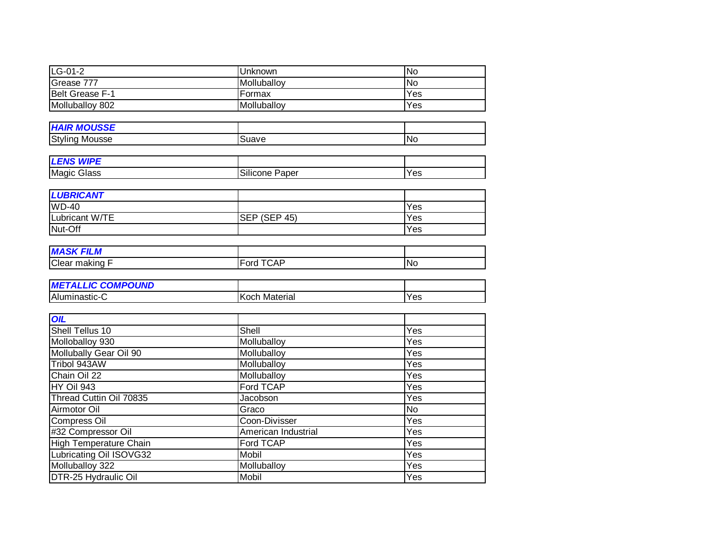| $LG-01-2$                     | Unknown                          | $\overline{N}$    |
|-------------------------------|----------------------------------|-------------------|
| Grease 777                    | Molluballoy                      | <b>No</b>         |
| Belt Grease F-1               | Formax                           | Yes               |
| Molluballoy 802               | Molluballoy                      | Yes               |
|                               |                                  |                   |
| <b>HAIR MOUSSE</b>            |                                  |                   |
| <b>Styling Mousse</b>         | Suave                            | <b>No</b>         |
|                               |                                  |                   |
| <b>LENS WIPE</b>              |                                  |                   |
| <b>Magic Glass</b>            | Silicone Paper                   | Yes               |
|                               |                                  |                   |
| <b>LUBRICANT</b>              |                                  |                   |
| $WD-40$                       |                                  | Yes               |
| Lubricant W/TE                | $\overline{\text{SEP}}$ (SEP 45) | Yes               |
| Nut-Off                       |                                  | Yes               |
|                               |                                  |                   |
| <b>MASK FILM</b>              |                                  |                   |
| Clear making F                | Ford TCAP                        | $\overline{N}$    |
|                               |                                  |                   |
| <b>METALLIC COMPOUND</b>      |                                  |                   |
| Aluminastic-C                 | <b>Koch Material</b>             | Yes               |
|                               |                                  |                   |
| <b>OIL</b>                    |                                  |                   |
| Shell Tellus 10               | Shell                            | Yes               |
| Molloballoy 930               | Molluballoy                      | Yes               |
| Mollubally Gear Oil 90        | Molluballoy                      | Yes               |
| Tribol 943AW                  | Molluballoy                      | Yes               |
| Chain Oil 22                  | Molluballoy                      | Yes               |
| <b>HY Oil 943</b>             | <b>Ford TCAP</b>                 | Yes               |
| Thread Cuttin Oil 70835       | Jacobson                         | Yes               |
| Airmotor Oil                  | Graco                            | <b>No</b>         |
| <b>Compress Oil</b>           | Coon-Divisser                    | Yes               |
| #32 Compressor Oil            | American Industrial              | Yes               |
| <b>High Temperature Chain</b> | <b>Ford TCAP</b>                 | Yes               |
| Lubricating Oil ISOVG32       | Mobil                            | Yes               |
| Molluballoy 322               | Molluballoy                      | $\overline{Y}$ es |
| DTR-25 Hydraulic Oil          | Mobil                            | Yes               |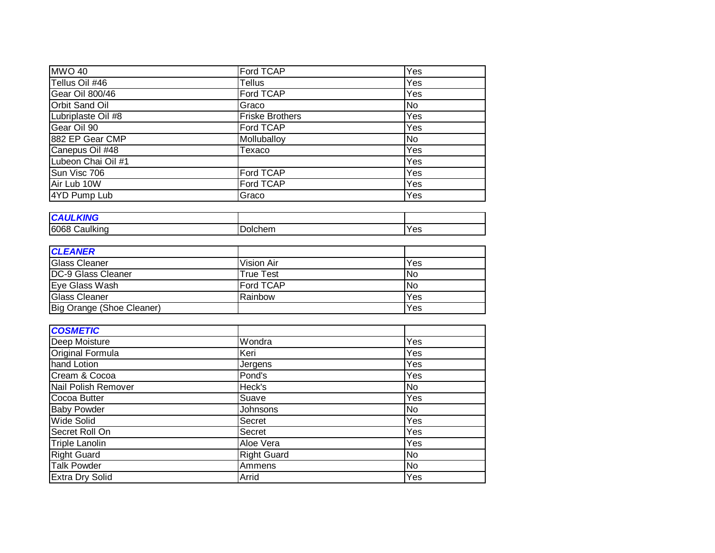| <b>MWO 40</b>                    | Ford TCAP              | Yes                |
|----------------------------------|------------------------|--------------------|
| Tellus Oil #46                   | Tellus                 | Yes                |
| <b>Gear Oil 800/46</b>           | <b>Ford TCAP</b>       | Yes                |
| <b>Orbit Sand Oil</b>            | Graco                  | $\overline{N}$     |
| Lubriplaste Oil #8               | <b>Friske Brothers</b> | Yes                |
| Gear Oil 90                      | Ford TCAP              | Yes                |
| 882 EP Gear CMP                  | Molluballoy            | $\overline{N}$     |
| Canepus Oil #48                  | Texaco                 | Yes                |
| Lubeon Chai Oil #1               |                        | Yes                |
| Sun Visc 706                     | Ford TCAP              | Yes                |
| Air Lub 10W                      | Ford TCAP              | Yes                |
| 4YD Pump Lub                     | Graco                  | Yes                |
|                                  |                        |                    |
| <b>CAULKING</b>                  |                        |                    |
| 6068 Caulking                    | Dolchem                | Yes                |
|                                  |                        |                    |
| <b>CLEANER</b>                   |                        |                    |
| <b>Glass Cleaner</b>             | <b>Vision Air</b>      | Yes                |
| DC-9 Glass Cleaner               | <b>True Test</b>       | $\overline{N}$     |
| Eye Glass Wash                   | <b>Ford TCAP</b>       | $\overline{N}$     |
| <b>Glass Cleaner</b>             | Rainbow                | Yes                |
| <b>Big Orange (Shoe Cleaner)</b> |                        | Yes                |
|                                  |                        |                    |
| <b>COSMETIC</b>                  |                        |                    |
| Deep Moisture                    | Wondra                 | Yes                |
| Original Formula                 | Keri                   | Yes                |
| hand Lotion                      | Jergens                | Yes                |
| Cream & Cocoa                    | Pond's                 | Yes                |
| Nail Polish Remover              | Heck's                 | $\overline{N}$     |
| Cocoa Butter                     | Suave                  | Yes                |
| <b>Baby Powder</b>               | Johnsons               | $\overline{N_{0}}$ |
| <b>Wide Solid</b>                | <b>Secret</b>          | Yes                |
| Secret Roll On                   | <b>Secret</b>          | Yes                |
| <b>Triple Lanolin</b>            | Aloe Vera              | Yes                |
| <b>Right Guard</b>               | <b>Right Guard</b>     | $\overline{N}$     |
| <b>Talk Powder</b>               | Ammens                 | <b>No</b>          |
| <b>Extra Dry Solid</b>           | Arrid                  | Yes                |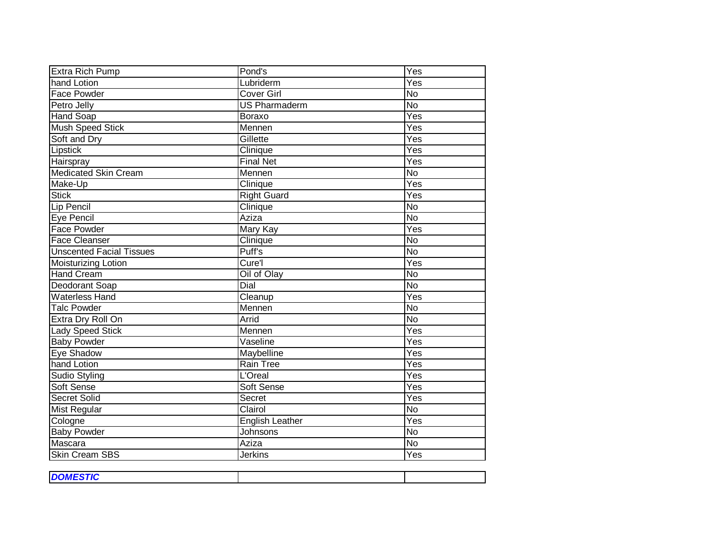| Extra Rich Pump                 | Pond's                 | $\overline{Yes}$          |
|---------------------------------|------------------------|---------------------------|
| hand Lotion                     | Lubriderm              | $\overline{Y}$ es         |
| <b>Face Powder</b>              | <b>Cover Girl</b>      | $\overline{N}$            |
| Petro Jelly                     | <b>US Pharmaderm</b>   | $\overline{N}$            |
| <b>Hand Soap</b>                | <b>Boraxo</b>          | Yes                       |
| Mush Speed Stick                | Mennen                 | Yes                       |
| Soft and Dry                    | Gillette               | $\overline{Yes}$          |
| Lipstick                        | Clinique               | Yes                       |
| Hairspray                       | <b>Final Net</b>       | Yes                       |
| <b>Medicated Skin Cream</b>     | Mennen                 | <b>No</b>                 |
| Make-Up                         | Clinique               | $\overline{Yes}$          |
| <b>Stick</b>                    | <b>Right Guard</b>     | Yes                       |
| Lip Pencil                      | Clinique               | <b>No</b>                 |
| Eye Pencil                      | Aziza                  | $\overline{N}$            |
| <b>Face Powder</b>              | Mary Kay               | Yes                       |
| <b>Face Cleanser</b>            | Clinique               | $\overline{N}$            |
| <b>Unscented Facial Tissues</b> | Puff's                 | $\overline{N}$            |
| Moisturizing Lotion             | Cure'l                 | Yes                       |
| <b>Hand Cream</b>               | Oil of Olay            | <b>No</b>                 |
| Deodorant Soap                  | Dial                   | $\overline{N}$            |
| <b>Waterless Hand</b>           | Cleanup                | Yes                       |
| <b>Talc Powder</b>              | Mennen                 | $\overline{N}$            |
| Extra Dry Roll On               | Arrid                  | <b>No</b>                 |
| <b>Lady Speed Stick</b>         | Mennen                 | Yes                       |
| <b>Baby Powder</b>              | Vaseline               | Yes                       |
| Eye Shadow                      | Maybelline             | Yes                       |
| hand Lotion                     | <b>Rain Tree</b>       | $\overline{Yes}$          |
| Sudio Styling                   | L'Oreal                | Yes                       |
| Soft Sense                      | Soft Sense             | Yes                       |
| <b>Secret Solid</b>             | Secret                 | $\overline{\mathsf{Yes}}$ |
| <b>Mist Regular</b>             | Clairol                | <b>No</b>                 |
| Cologne                         | <b>English Leather</b> | $\overline{Yes}$          |
| <b>Baby Powder</b>              | Johnsons               | $\overline{N}$            |
| Mascara                         | Aziza                  | <b>No</b>                 |
| <b>Skin Cream SBS</b>           | <b>Jerkins</b>         | Yes                       |

| <b>DOMESTIC</b> |  |
|-----------------|--|
|                 |  |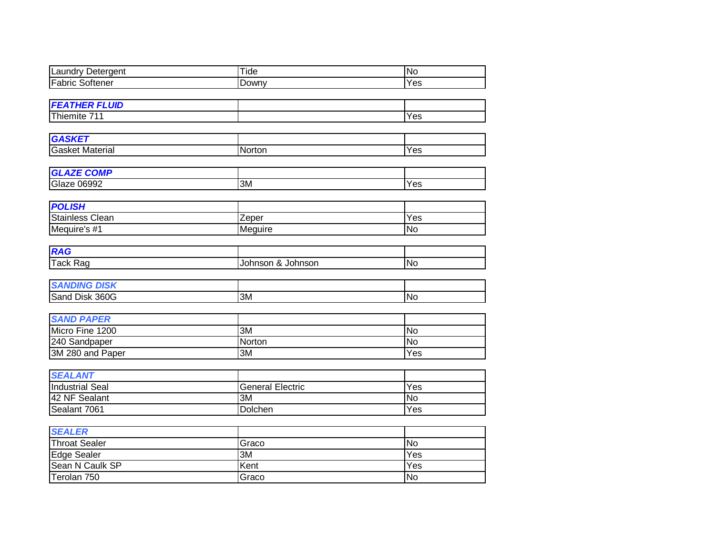| <b>Laundry Detergent</b>              | Tide                    | $\overline{N}$   |
|---------------------------------------|-------------------------|------------------|
| <b>Fabric Softener</b>                | Downy                   | Yes              |
|                                       |                         |                  |
| <b>FEATHER FLUID</b>                  |                         |                  |
| Thiemite 711                          |                         | Yes              |
|                                       |                         |                  |
| <b>GASKET</b>                         |                         |                  |
| <b>Gasket Material</b>                | Norton                  | Yes              |
|                                       |                         |                  |
| <b>GLAZE COMP</b>                     |                         |                  |
| <b>Glaze 06992</b>                    | 3M                      | Yes              |
|                                       |                         |                  |
| <b>POLISH</b>                         |                         |                  |
| <b>Stainless Clean</b>                | Zeper                   | $\overline{Yes}$ |
| Mequire's #1                          | Meguire                 | <b>No</b>        |
|                                       |                         |                  |
| <b>RAG</b>                            |                         |                  |
| <b>Tack Rag</b>                       | Johnson & Johnson       | $\overline{N}$   |
|                                       |                         |                  |
| <b>SANDING DISK</b><br>Sand Disk 360G | $\overline{3M}$         | $\overline{N}$   |
|                                       |                         |                  |
| <b>SAND PAPER</b>                     |                         |                  |
| Micro Fine 1200                       | 3M                      | <b>No</b>        |
| 240 Sandpaper                         | Norton                  | <b>No</b>        |
| 3M 280 and Paper                      | 3M                      | Yes              |
|                                       |                         |                  |
| <b>SEALANT</b>                        |                         |                  |
| <b>Industrial Seal</b>                | <b>General Electric</b> | $\overline{Yes}$ |
| 42 NF Sealant                         | $\overline{3M}$         | $\overline{N}$ o |
| Sealant 7061                          | Dolchen                 | Yes              |
|                                       |                         |                  |
| <b>SEALER</b>                         |                         |                  |
| <b>Throat Sealer</b>                  | Graco                   | N <sub>o</sub>   |
| <b>Edge Sealer</b>                    | 3M                      | Yes              |
| Sean N Caulk SP                       | Kent                    | $\overline{Yes}$ |
| Terolan 750                           | Graco                   | $\overline{N}$   |